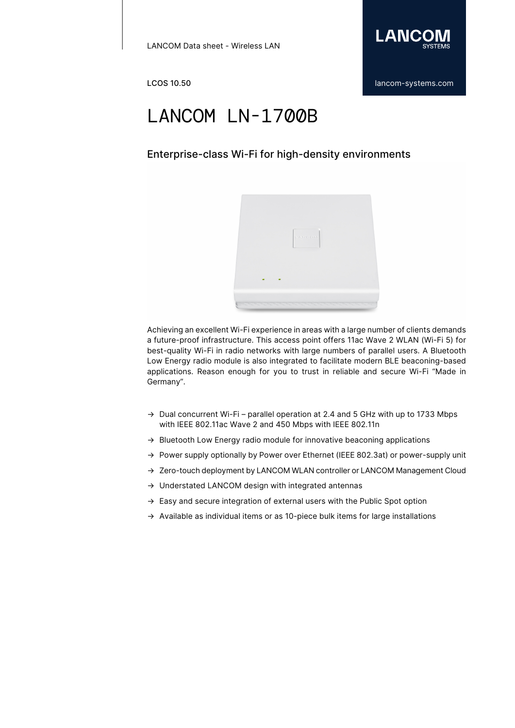

### Enterprise-class Wi-Fi for high-density environments



Achieving an excellent Wi-Fi experience in areas with a large number of clients demands a future-proof infrastructure. This access point offers 11ac Wave 2 WLAN (Wi-Fi 5) for best-quality Wi-Fi in radio networks with large numbers of parallel users. A Bluetooth Low Energy radio module is also integrated to facilitate modern BLE beaconing-based applications. Reason enough for you to trust in reliable and secure Wi-Fi "Made in Germany".

- → Dual concurrent Wi-Fi parallel operation at 2.4 and 5 GHz with up to 1733 Mbps with IEEE 802.11ac Wave 2 and 450 Mbps with IEEE 802.11n
- → Bluetooth Low Energy radio module for innovative beaconing applications
- → Power supply optionally by Power over Ethernet (IEEE 802.3at) or power-supply unit
- → Zero-touch deployment by LANCOM WLAN controller or LANCOM Management Cloud
- → Understated LANCOM design with integrated antennas
- $\rightarrow$  Easy and secure integration of external users with the Public Spot option
- → Available as individual items or as 10-piece bulk items for large installations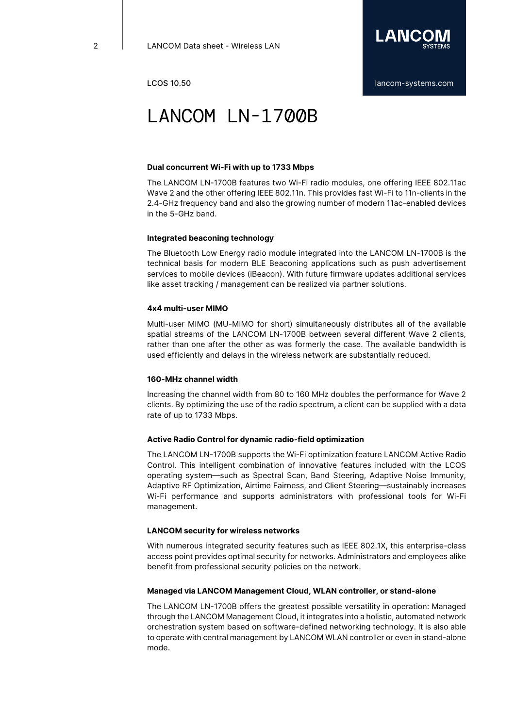

#### **Dual concurrent Wi-Fi with up to 1733 Mbps**

The LANCOM LN-1700B features two Wi-Fi radio modules, one offering IEEE 802.11ac Wave 2 and the other offering IEEE 802.11n. This provides fast Wi-Fi to 11n-clients in the 2.4-GHz frequency band and also the growing number of modern 11ac-enabled devices in the 5-GHz band.

#### **Integrated beaconing technology**

The Bluetooth Low Energy radio module integrated into the LANCOM LN-1700B is the technical basis for modern BLE Beaconing applications such as push advertisement services to mobile devices (iBeacon). With future firmware updates additional services like asset tracking / management can be realized via partner solutions.

#### **4x4 multi-user MIMO**

Multi-user MIMO (MU-MIMO for short) simultaneously distributes all of the available spatial streams of the LANCOM LN-1700B between several different Wave 2 clients, rather than one after the other as was formerly the case. The available bandwidth is used efficiently and delays in the wireless network are substantially reduced.

#### **160-MHz channel width**

Increasing the channel width from 80 to 160 MHz doubles the performance for Wave 2 clients. By optimizing the use of the radio spectrum, a client can be supplied with a data rate of up to 1733 Mbps.

### **Active Radio Control for dynamic radio-field optimization**

The LANCOM LN-1700B supports the Wi-Fi optimization feature LANCOM Active Radio Control. This intelligent combination of innovative features included with the LCOS operating system—such as Spectral Scan, Band Steering, Adaptive Noise Immunity, Adaptive RF Optimization, Airtime Fairness, and Client Steering—sustainably increases Wi-Fi performance and supports administrators with professional tools for Wi-Fi management.

#### **LANCOM security for wireless networks**

With numerous integrated security features such as IEEE 802.1X, this enterprise-class access point provides optimal security for networks. Administrators and employees alike benefit from professional security policies on the network.

#### **Managed via LANCOM Management Cloud, WLAN controller, or stand-alone**

The LANCOM LN-1700B offers the greatest possible versatility in operation: Managed through the LANCOM Management Cloud, it integrates into a holistic, automated network orchestration system based on software-defined networking technology. It is also able to operate with central management by LANCOM WLAN controller or even in stand-alone mode.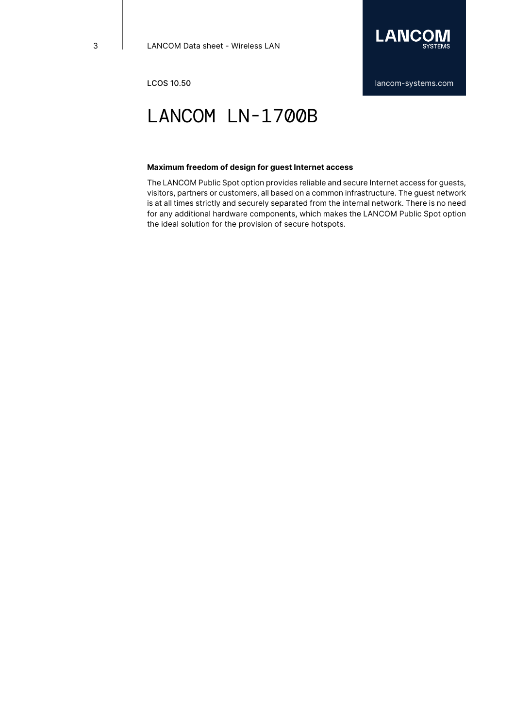

#### **Maximum freedom of design for guest Internet access**

The LANCOM Public Spot option provides reliable and secure Internet access for guests, visitors, partners or customers, all based on a common infrastructure. The guest network is at all times strictly and securely separated from the internal network. There is no need for any additional hardware components, which makes the LANCOM Public Spot option the ideal solution for the provision of secure hotspots.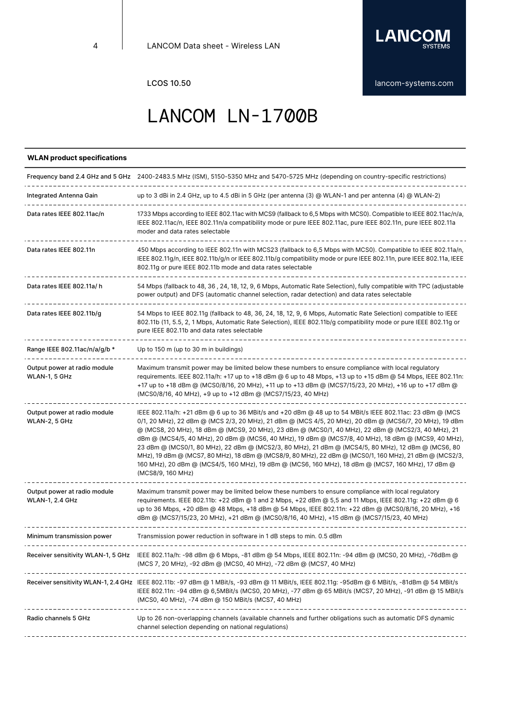

### **WLAN product specifications**

|                                                        | Frequency band 2.4 GHz and 5 GHz 2400-2483.5 MHz (ISM), 5150-5350 MHz and 5470-5725 MHz (depending on country-specific restrictions)                                                                                                                                                                                                                                                                                                                                                                                                                                                                                                                                                                                                                                             |
|--------------------------------------------------------|----------------------------------------------------------------------------------------------------------------------------------------------------------------------------------------------------------------------------------------------------------------------------------------------------------------------------------------------------------------------------------------------------------------------------------------------------------------------------------------------------------------------------------------------------------------------------------------------------------------------------------------------------------------------------------------------------------------------------------------------------------------------------------|
| Integrated Antenna Gain                                | up to 3 dBi in 2.4 GHz, up to 4.5 dBi in 5 GHz (per antenna (3) @ WLAN-1 and per antenna (4) @ WLAN-2)                                                                                                                                                                                                                                                                                                                                                                                                                                                                                                                                                                                                                                                                           |
| Data rates IEEE 802.11ac/n                             | 1733 Mbps according to IEEE 802.11ac with MCS9 (fallback to 6,5 Mbps with MCS0). Compatible to IEEE 802.11ac/n/a,<br>IEEE 802.11ac/n, IEEE 802.11n/a compatibility mode or pure IEEE 802.11ac, pure IEEE 802.11n, pure IEEE 802.11a<br>moder and data rates selectable                                                                                                                                                                                                                                                                                                                                                                                                                                                                                                           |
| Data rates IEEE 802.11n                                | 450 Mbps according to IEEE 802.11n with MCS23 (fallback to 6,5 Mbps with MCS0). Compatible to IEEE 802.11a/n,<br>IEEE 802.11g/n, IEEE 802.11b/g/n or IEEE 802.11b/g compatibility mode or pure IEEE 802.11n, pure IEEE 802.11a, IEEE<br>802.11g or pure IEEE 802.11b mode and data rates selectable                                                                                                                                                                                                                                                                                                                                                                                                                                                                              |
| Data rates IEEE 802.11a/h                              | 54 Mbps (fallback to 48, 36, 24, 18, 12, 9, 6 Mbps, Automatic Rate Selection), fully compatible with TPC (adjustable<br>power output) and DFS (automatic channel selection, radar detection) and data rates selectable                                                                                                                                                                                                                                                                                                                                                                                                                                                                                                                                                           |
| Data rates IEEE 802.11b/g                              | 54 Mbps to IEEE 802.11g (fallback to 48, 36, 24, 18, 12, 9, 6 Mbps, Automatic Rate Selection) compatible to IEEE<br>802.11b (11, 5.5, 2, 1 Mbps, Automatic Rate Selection), IEEE 802.11b/g compatibility mode or pure IEEE 802.11g or<br>pure IEEE 802.11b and data rates selectable                                                                                                                                                                                                                                                                                                                                                                                                                                                                                             |
| Range IEEE 802.11ac/n/a/g/b *                          | Up to 150 m (up to 30 m in buildings)                                                                                                                                                                                                                                                                                                                                                                                                                                                                                                                                                                                                                                                                                                                                            |
| Output power at radio module<br>WLAN-1, 5 GHz          | Maximum transmit power may be limited below these numbers to ensure compliance with local regulatory<br>requirements. IEEE 802.11a/h: +17 up to +18 dBm @ 6 up to 48 Mbps, +13 up to +15 dBm @ 54 Mbps, IEEE 802.11n:<br>+17 up to +18 dBm @ (MCS0/8/16, 20 MHz), +11 up to +13 dBm @ (MCS7/15/23, 20 MHz), +16 up to +17 dBm @<br>(MCS0/8/16, 40 MHz), +9 up to +12 dBm @ (MCS7/15/23, 40 MHz)                                                                                                                                                                                                                                                                                                                                                                                  |
| Output power at radio module<br>WLAN-2, 5 GHz          | IEEE 802.11a/h: +21 dBm @ 6 up to 36 MBit/s and +20 dBm @ 48 up to 54 MBit/s IEEE 802.11ac: 23 dBm @ (MCS<br>0/1, 20 MHz), 22 dBm @ (MCS 2/3, 20 MHz), 21 dBm @ (MCS 4/5, 20 MHz), 20 dBm @ (MCS6/7, 20 MHz), 19 dBm<br>@ (MCS8, 20 MHz), 18 dBm @ (MCS9, 20 MHz), 23 dBm @ (MCS0/1, 40 MHz), 22 dBm @ (MCS2/3, 40 MHz), 21<br>dBm @ (MCS4/5, 40 MHz), 20 dBm @ (MCS6, 40 MHz), 19 dBm @ (MCS7/8, 40 MHz), 18 dBm @ (MCS9, 40 MHz),<br>23 dBm @ (MCS0/1, 80 MHz), 22 dBm @ (MCS2/3, 80 MHz), 21 dBm @ (MCS4/5, 80 MHz), 12 dBm @ (MCS6, 80<br>MHz), 19 dBm @ (MCS7, 80 MHz), 18 dBm @ (MCS8/9, 80 MHz), 22 dBm @ (MCS0/1, 160 MHz), 21 dBm @ (MCS2/3,<br>160 MHz), 20 dBm @ (MCS4/5, 160 MHz), 19 dBm @ (MCS6, 160 MHz), 18 dBm @ (MCS7, 160 MHz), 17 dBm @<br>(MCS8/9, 160 MHz) |
| Output power at radio module<br><b>WLAN-1, 2.4 GHz</b> | Maximum transmit power may be limited below these numbers to ensure compliance with local regulatory<br>requirements. IEEE 802.11b: +22 dBm @ 1 and 2 Mbps, +22 dBm @ 5,5 and 11 Mbps, IEEE 802.11g: +22 dBm @ 6<br>up to 36 Mbps, +20 dBm @ 48 Mbps, +18 dBm @ 54 Mbps, IEEE 802.11n: +22 dBm @ (MCS0/8/16, 20 MHz), +16<br>dBm @ (MCS7/15/23, 20 MHz), +21 dBm @ (MCS0/8/16, 40 MHz), +15 dBm @ (MCS7/15/23, 40 MHz)                                                                                                                                                                                                                                                                                                                                                           |
| Minimum transmission power                             | Transmission power reduction in software in 1 dB steps to min. 0.5 dBm                                                                                                                                                                                                                                                                                                                                                                                                                                                                                                                                                                                                                                                                                                           |
|                                                        | Receiver sensitivity WLAN-1, 5 GHz IEEE 802.11a/h: -98 dBm @ 6 Mbps, -81 dBm @ 54 Mbps, IEEE 802.11n: -94 dBm @ (MCS0, 20 MHz), -76dBm @<br>(MCS 7, 20 MHz), -92 dBm @ (MCS0, 40 MHz), -72 dBm @ (MCS7, 40 MHz)                                                                                                                                                                                                                                                                                                                                                                                                                                                                                                                                                                  |
|                                                        | Receiver sensitivity WLAN-1, 2.4 GHz IEEE 802.11b: -97 dBm @ 1 MBit/s, -93 dBm @ 11 MBit/s, IEEE 802.11g: -95dBm @ 6 MBit/s, -81dBm @ 54 MBit/s<br>IEEE 802.11n: -94 dBm @ 6,5MBit/s (MCS0, 20 MHz), -77 dBm @ 65 MBit/s (MCS7, 20 MHz), -91 dBm @ 15 MBit/s<br>(MCS0, 40 MHz), -74 dBm @ 150 MBit/s (MCS7, 40 MHz)                                                                                                                                                                                                                                                                                                                                                                                                                                                              |
| Radio channels 5 GHz                                   | Up to 26 non-overlapping channels (available channels and further obligations such as automatic DFS dynamic<br>channel selection depending on national regulations)                                                                                                                                                                                                                                                                                                                                                                                                                                                                                                                                                                                                              |
|                                                        |                                                                                                                                                                                                                                                                                                                                                                                                                                                                                                                                                                                                                                                                                                                                                                                  |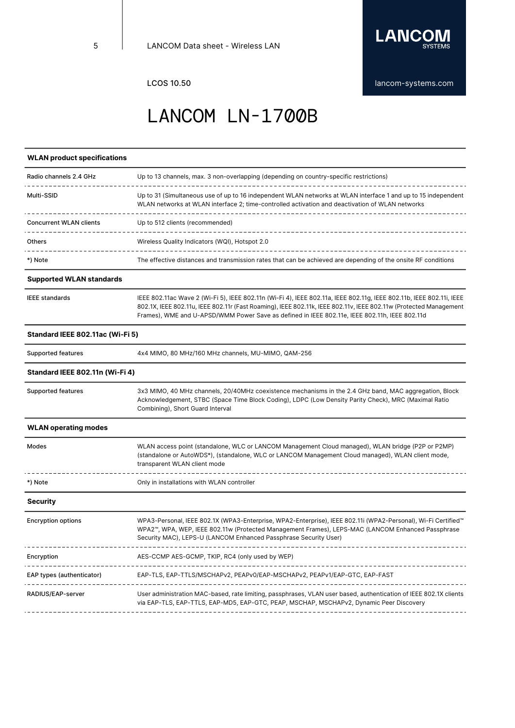

#### **WLAN product specifications**

| Radio channels 2.4 GHz         | Up to 13 channels, max. 3 non-overlapping (depending on country-specific restrictions)                                                                                                                           |
|--------------------------------|------------------------------------------------------------------------------------------------------------------------------------------------------------------------------------------------------------------|
| Multi-SSID                     | Up to 31 (Simultaneous use of up to 16 independent WLAN networks at WLAN interface 1 and up to 15 independent<br>WLAN networks at WLAN interface 2; time-controlled activation and deactivation of WLAN networks |
| <b>Concurrent WLAN clients</b> | Up to 512 clients (recommended)                                                                                                                                                                                  |
| Others                         | Wireless Quality Indicators (WQI), Hotspot 2.0                                                                                                                                                                   |
| *) Note                        | The effective distances and transmission rates that can be achieved are depending of the onsite RF conditions                                                                                                    |
|                                |                                                                                                                                                                                                                  |

#### **Supported WLAN standards**

|  | <b>IEEE</b> standards |
|--|-----------------------|
|--|-----------------------|

IEEE 802.11ac Wave 2 (Wi-Fi 5), IEEE 802.11n (Wi-Fi 4), IEEE 802.11a, IEEE 802.11g, IEEE 802.11b, IEEE 802.11i, IEEE 802.1X, IEEE 802.11u, IEEE 802.11r (Fast Roaming), IEEE 802.11k, IEEE 802.11v, IEEE 802.11w (Protected Management Frames), WME and U-APSD/WMM Power Save as defined in IEEE 802.11e, IEEE 802.11h, IEEE 802.11d

#### **Standard IEEE 802.11ac (Wi-Fi 5)**

Modes

Supported features 4x4 MIMO, 80 MHz/160 MHz channels, MU-MIMO, QAM-256

#### **Standard IEEE 802.11n (Wi-Fi 4)**

Supported features 3x3 MIMO, 40 MHz channels, 20/40MHz coexistence mechanisms in the 2.4 GHz band, MAC aggregation, Block Acknowledgement, STBC (Space Time Block Coding), LDPC (Low Density Parity Check), MRC (Maximal Ratio Combining), Short Guard Interval **WLAN operating modes** WLAN access point (standalone, WLC or LANCOM Management Cloud managed), WLAN bridge (P2P or P2MP) (standalone or AutoWDS\*), (standalone, WLC or LANCOM Management Cloud managed), WLAN client mode, transparent WLAN client mode  $- - - - - -$ <u> 22222222222</u> \*) Note Only in installations with WLAN controller **Security**

| <b>Encryption options</b> | WPA3-Personal, IEEE 802.1X (WPA3-Enterprise, WPA2-Enterprise), IEEE 802.11i (WPA2-Personal), Wi-Fi Certified™<br>WPA2™, WPA, WEP, IEEE 802.11w (Protected Management Frames), LEPS-MAC (LANCOM Enhanced Passphrase<br>Security MAC), LEPS-U (LANCOM Enhanced Passphrase Security User) |
|---------------------------|----------------------------------------------------------------------------------------------------------------------------------------------------------------------------------------------------------------------------------------------------------------------------------------|
| Encryption                | AES-CCMP AES-GCMP, TKIP, RC4 (only used by WEP)                                                                                                                                                                                                                                        |
| EAP types (authenticator) | EAP-TLS, EAP-TTLS/MSCHAPv2, PEAPv0/EAP-MSCHAPv2, PEAPv1/EAP-GTC, EAP-FAST                                                                                                                                                                                                              |
| RADIUS/EAP-server         | User administration MAC-based, rate limiting, passphrases, VLAN user based, authentication of IEEE 802.1X clients<br>via EAP-TLS, EAP-TTLS, EAP-MD5, EAP-GTC, PEAP, MSCHAP, MSCHAPv2, Dynamic Peer Discovery                                                                           |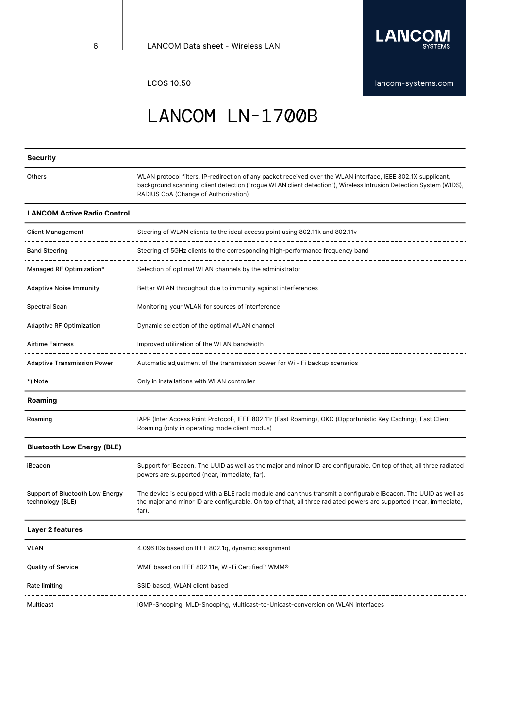

LCOS 10.50 [lancom-systems.com](https://www.lancom-systems.com)

### LANCOM LN-1700B

#### **Security Others** WLAN protocol filters, IP-redirection of any packet received over the WLAN interface, IEEE 802.1X supplicant, background scanning, client detection ("rogue WLAN client detection"), Wireless Intrusion Detection System (WIDS), RADIUS CoA (Change of Authorization) **LANCOM Active Radio Control** Client Management Steering of WLAN clients to the ideal access point using 802.11k and 802.11v Band Steering Steering of 5GHz clients to the corresponding high-performance frequency band ----------Managed RF Optimization\* Selection of optimal WLAN channels by the administrator Adaptive Noise Immunity **Better WLAN** throughput due to immunity against interferences Spectral Scan Monitoring your WLAN for sources of interference Adaptive RF Optimization Dynamic selection of the optimal WLAN channel Airtime Fairness **Improved utilization of the WLAN bandwidth** Adaptive Transmission Power Automatic adjustment of the transmission power for Wi - Fi backup scenarios -----------------------\*) Note Only in installations with WLAN controller **Roaming** Roaming IAPP (Inter Access Point Protocol), IEEE 802.11r (Fast Roaming), OKC (Opportunistic Key Caching), Fast Client Roaming (only in operating mode client modus)

#### **Bluetooth Low Energy (BLE)**

| iBeacon                                             | Support for iBeacon. The UUID as well as the major and minor ID are configurable. On top of that, all three radiated<br>powers are supported (near, immediate, far).                                                                            |
|-----------------------------------------------------|-------------------------------------------------------------------------------------------------------------------------------------------------------------------------------------------------------------------------------------------------|
| Support of Bluetooth Low Energy<br>technology (BLE) | The device is equipped with a BLE radio module and can thus transmit a configurable iBeacon. The UUID as well as<br>the major and minor ID are configurable. On top of that, all three radiated powers are supported (near, immediate,<br>far). |

#### **Layer 2 features**

| <b>VLAN</b>        | 4.096 IDs based on IEEE 802.1g, dynamic assignment                              |
|--------------------|---------------------------------------------------------------------------------|
| Quality of Service | WME based on IEEE 802.11e, Wi-Fi Certified™ WMM®                                |
| Rate limiting      | SSID based, WLAN client based                                                   |
| Multicast          | IGMP-Snooping, MLD-Snooping, Multicast-to-Unicast-conversion on WLAN interfaces |
|                    |                                                                                 |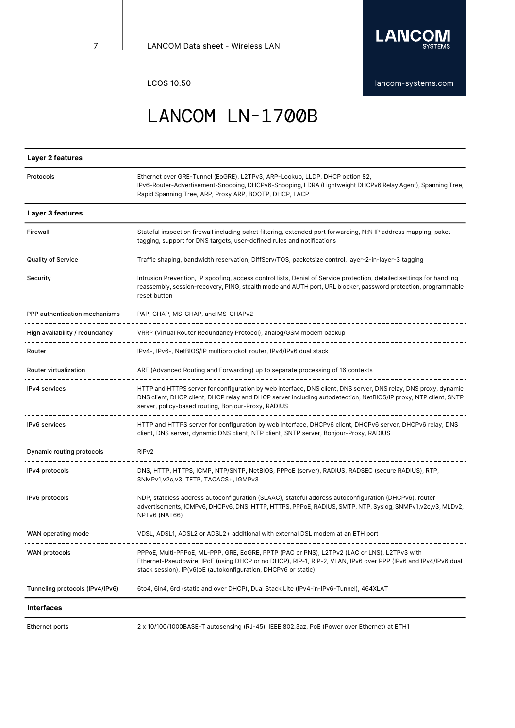

| Layer 2 features                |                                                                                                                                                                                                                                                                                           |
|---------------------------------|-------------------------------------------------------------------------------------------------------------------------------------------------------------------------------------------------------------------------------------------------------------------------------------------|
| Protocols                       | Ethernet over GRE-Tunnel (EoGRE), L2TPv3, ARP-Lookup, LLDP, DHCP option 82,<br>IPv6-Router-Advertisement-Snooping, DHCPv6-Snooping, LDRA (Lightweight DHCPv6 Relay Agent), Spanning Tree,<br>Rapid Spanning Tree, ARP, Proxy ARP, BOOTP, DHCP, LACP                                       |
| Layer 3 features                |                                                                                                                                                                                                                                                                                           |
| Firewall                        | Stateful inspection firewall including paket filtering, extended port forwarding, N:N IP address mapping, paket<br>tagging, support for DNS targets, user-defined rules and notifications                                                                                                 |
| <b>Quality of Service</b>       | Traffic shaping, bandwidth reservation, DiffServ/TOS, packetsize control, layer-2-in-layer-3 tagging                                                                                                                                                                                      |
| Security                        | Intrusion Prevention, IP spoofing, access control lists, Denial of Service protection, detailed settings for handling<br>reassembly, session-recovery, PING, stealth mode and AUTH port, URL blocker, password protection, programmable<br>reset button                                   |
| PPP authentication mechanisms   | PAP, CHAP, MS-CHAP, and MS-CHAPv2                                                                                                                                                                                                                                                         |
| High availability / redundancy  | VRRP (Virtual Router Redundancy Protocol), analog/GSM modem backup                                                                                                                                                                                                                        |
| Router                          | IPv4-, IPv6-, NetBIOS/IP multiprotokoll router, IPv4/IPv6 dual stack                                                                                                                                                                                                                      |
| Router virtualization           | ARF (Advanced Routing and Forwarding) up to separate processing of 16 contexts                                                                                                                                                                                                            |
| <b>IPv4</b> services            | HTTP and HTTPS server for configuration by web interface, DNS client, DNS server, DNS relay, DNS proxy, dynamic<br>DNS client, DHCP client, DHCP relay and DHCP server including autodetection, NetBIOS/IP proxy, NTP client, SNTP<br>server, policy-based routing, Bonjour-Proxy, RADIUS |
| <b>IPv6</b> services            | HTTP and HTTPS server for configuration by web interface, DHCPv6 client, DHCPv6 server, DHCPv6 relay, DNS<br>client, DNS server, dynamic DNS client, NTP client, SNTP server, Bonjour-Proxy, RADIUS                                                                                       |
| Dynamic routing protocols       | RIP <sub>v2</sub>                                                                                                                                                                                                                                                                         |
| IPv4 protocols                  | DNS, HTTP, HTTPS, ICMP, NTP/SNTP, NetBIOS, PPPoE (server), RADIUS, RADSEC (secure RADIUS), RTP,<br>SNMPv1, v2c, v3, TFTP, TACACS+, IGMPv3                                                                                                                                                 |
| IPv6 protocols                  | NDP, stateless address autoconfiguration (SLAAC), stateful address autoconfiguration (DHCPv6), router<br>advertisements, ICMPv6, DHCPv6, DNS, HTTP, HTTPS, PPPoE, RADIUS, SMTP, NTP, Syslog, SNMPv1, v2c, v3, MLDv2,<br>NPTv6 (NAT66)                                                     |
| WAN operating mode              | VDSL, ADSL1, ADSL2 or ADSL2+ additional with external DSL modem at an ETH port                                                                                                                                                                                                            |
| WAN protocols                   | PPPoE, Multi-PPPoE, ML-PPP, GRE, EoGRE, PPTP (PAC or PNS), L2TPv2 (LAC or LNS), L2TPv3 with<br>Ethernet-Pseudowire, IPoE (using DHCP or no DHCP), RIP-1, RIP-2, VLAN, IPv6 over PPP (IPv6 and IPv4/IPv6 dual<br>stack session), IP(v6) o E (autokonfiguration, DHCP v6 or static)         |
| Tunneling protocols (IPv4/IPv6) | 6to4, 6in4, 6rd (static and over DHCP), Dual Stack Lite (IPv4-in-IPv6-Tunnel), 464XLAT                                                                                                                                                                                                    |
| Intorfoooc                      |                                                                                                                                                                                                                                                                                           |

**Interfaces**

Ethernet ports 2 x 10/100/1000BASE-T autosensing (RJ-45), IEEE 802.3az, PoE (Power over Ethernet) at ETH1 . \_ \_ \_ \_ \_ \_ \_ \_ \_ \_ \_ \_ \_ \_ \_ . . . . . . . . . . . . . . . . . . .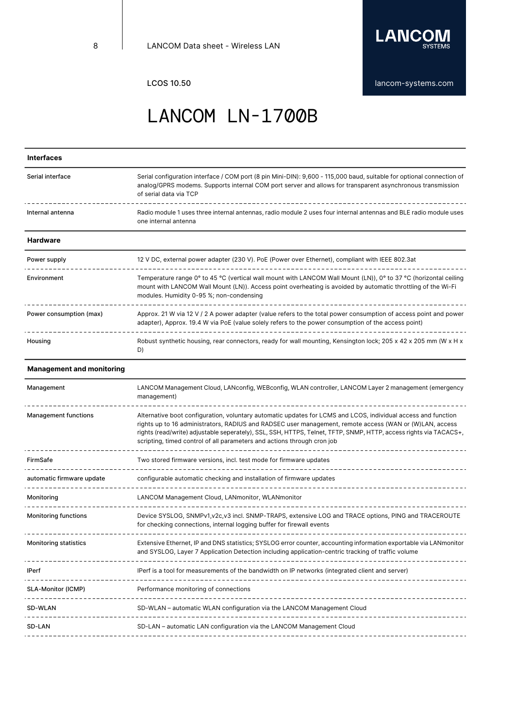

LCOS 10.50 **[lancom-systems.com](https://www.lancom-systems.com)** 

# LANCOM LN-1700B

| <b>Interfaces</b>                |                                                                                                                                                                                                                                                                                                                                                                                                                          |
|----------------------------------|--------------------------------------------------------------------------------------------------------------------------------------------------------------------------------------------------------------------------------------------------------------------------------------------------------------------------------------------------------------------------------------------------------------------------|
| Serial interface                 | Serial configuration interface / COM port (8 pin Mini-DIN): 9,600 - 115,000 baud, suitable for optional connection of<br>analog/GPRS modems. Supports internal COM port server and allows for transparent asynchronous transmission<br>of serial data via TCP                                                                                                                                                            |
| Internal antenna                 | Radio module 1 uses three internal antennas, radio module 2 uses four internal antennas and BLE radio module uses<br>one internal antenna                                                                                                                                                                                                                                                                                |
| <b>Hardware</b>                  |                                                                                                                                                                                                                                                                                                                                                                                                                          |
| Power supply                     | 12 V DC, external power adapter (230 V). PoE (Power over Ethernet), compliant with IEEE 802.3at                                                                                                                                                                                                                                                                                                                          |
| Environment                      | Temperature range 0° to 45 °C (vertical wall mount with LANCOM Wall Mount (LN)), 0° to 37 °C (horizontal ceiling<br>mount with LANCOM Wall Mount (LN)). Access point overheating is avoided by automatic throttling of the Wi-Fi<br>modules. Humidity 0-95 %; non-condensing                                                                                                                                             |
| Power consumption (max)          | Approx. 21 W via 12 V / 2 A power adapter (value refers to the total power consumption of access point and power<br>adapter), Approx. 19.4 W via PoE (value solely refers to the power consumption of the access point)                                                                                                                                                                                                  |
| Housing                          | Robust synthetic housing, rear connectors, ready for wall mounting, Kensington lock; 205 x 42 x 205 mm (W x H x<br>D)                                                                                                                                                                                                                                                                                                    |
| <b>Management and monitoring</b> |                                                                                                                                                                                                                                                                                                                                                                                                                          |
| Management                       | LANCOM Management Cloud, LANconfig, WEBconfig, WLAN controller, LANCOM Layer 2 management (emergency<br>management)                                                                                                                                                                                                                                                                                                      |
| <b>Management functions</b>      | Alternative boot configuration, voluntary automatic updates for LCMS and LCOS, individual access and function<br>rights up to 16 administrators, RADIUS and RADSEC user management, remote access (WAN or (W)LAN, access<br>rights (read/write) adjustable seperately), SSL, SSH, HTTPS, Telnet, TFTP, SNMP, HTTP, access rights via TACACS+,<br>scripting, timed control of all parameters and actions through cron job |
| FirmSafe                         | Two stored firmware versions, incl. test mode for firmware updates                                                                                                                                                                                                                                                                                                                                                       |
| automatic firmware update        | configurable automatic checking and installation of firmware updates                                                                                                                                                                                                                                                                                                                                                     |
| Monitoring                       | LANCOM Management Cloud, LANmonitor, WLANmonitor                                                                                                                                                                                                                                                                                                                                                                         |
| <b>Monitoring functions</b>      | Device SYSLOG, SNMPv1, v2c, v3 incl. SNMP-TRAPS, extensive LOG and TRACE options, PING and TRACEROUTE<br>for checking connections, internal logging buffer for firewall events                                                                                                                                                                                                                                           |
| <b>Monitoring statistics</b>     | Extensive Ethernet, IP and DNS statistics; SYSLOG error counter, accounting information exportable via LANmonitor<br>and SYSLOG, Layer 7 Application Detection including application-centric tracking of traffic volume                                                                                                                                                                                                  |
| <b>IPerf</b>                     | IPerf is a tool for measurements of the bandwidth on IP networks (integrated client and server)                                                                                                                                                                                                                                                                                                                          |
| SLA-Monitor (ICMP)               | Performance monitoring of connections<br>--------------------------------                                                                                                                                                                                                                                                                                                                                                |
| SD-WLAN                          | SD-WLAN - automatic WLAN configuration via the LANCOM Management Cloud                                                                                                                                                                                                                                                                                                                                                   |
| SD-LAN                           | SD-LAN - automatic LAN configuration via the LANCOM Management Cloud                                                                                                                                                                                                                                                                                                                                                     |
|                                  |                                                                                                                                                                                                                                                                                                                                                                                                                          |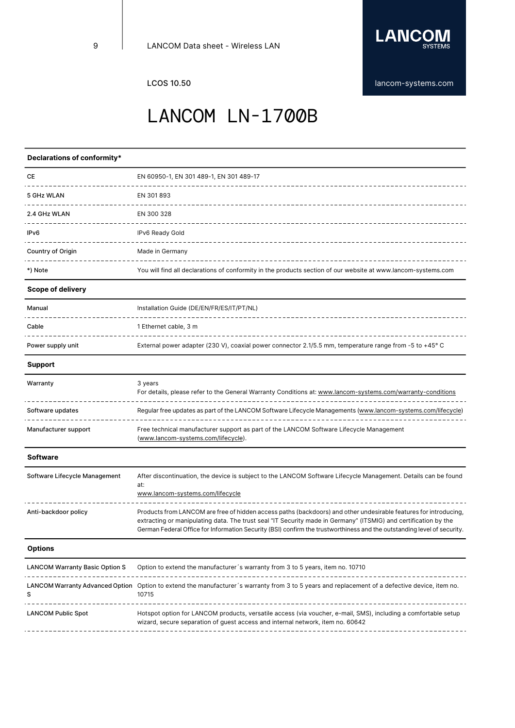

LCOS 10.50 **[lancom-systems.com](https://www.lancom-systems.com)** 

### LANCOM LN-1700B

#### **Declarations of conformity\*** CE EN 60950-1, EN 301 489-1, EN 301 489-17 5 GHz WLAN EN 301 893 2.4 GHz WLAN EN 300 328 -----------------------IPv6 IPv6 Ready Gold  $\sim$ Country of Origin **Made in Germany** \_\_\_\_\_\_\_\_\_\_\_\_\_\_\_\_\_\_\_\_\_\_\_\_\_\_\_\_\_ \*) Note You will find all declarations of conformity in the products section of our website at www.lancom-systems.com **Scope of delivery** Manual **Installation Guide (DE/EN/FR/ES/IT/PT/NL)** . <u>. . . . . . .</u> \_\_\_\_\_\_\_\_\_\_\_\_\_\_\_\_\_\_\_\_\_\_\_\_\_\_\_\_\_\_\_\_\_ Cable 2 2 2 2 2 2 2 2 3 2 2 2 2 3 2 2 2 2 3 2 2 2 2 3 2 2 2 2 3 2 2 2 2 3 2 2 2 2 3 2 2 2 2 3 2 2 3 2 2 3 2 2 3 2 2 3 2 2 3 2 2 3 2 2 3 2 2 3 2 2 3 2 2 3 2 2 3 2 3 2 2 3 2 3 2 2 3 2 3 2 3 2 3 2 3 2 3 2 3 2 3 2 3 2 3 2 3 2 \_\_\_\_\_\_\_\_\_\_\_\_\_\_\_\_\_\_\_\_\_\_\_\_ Power supply unit Factors and External power adapter (230 V), coaxial power connector 2.1/5.5 mm, temperature range from -5 to +45° C **Support** Warranty 3 years For details, please refer to the General Warranty Conditions at: <www.lancom-systems.com/warranty-conditions> . <u>. . . . . . . . . .</u> -------------------------------Software updates **Regular free updates as part of the LANCOM** Software Lifecycle Managements [\(www.lancom-systems.com/lifecycle](www.lancom-systems.com/lifecycle)) Manufacturer support Free technical manufacturer support as part of the LANCOM Software Lifecycle Management [\(www.lancom-systems.com/lifecycle\)](https://www.lancom-systems.com/lifecycle). **Software** Software Lifecycle Management After discontinuation, the device is subject to the LANCOM Software Lifecycle Management. Details can be found at: <www.lancom-systems.com/lifecycle> Anti-backdoor policy Products from LANCOM are free of hidden access paths (backdoors) and other undesirable features for introducing, extracting or manipulating data. The trust seal "IT Security made in Germany" (ITSMIG) and certification by the German Federal Office for Information Security (BSI) confirm the trustworthiness and the outstanding level of security. **Options** LANCOM Warranty Basic Option S Option to extend the manufacturer's warranty from 3 to 5 years, item no. 10710 \_\_\_\_\_\_\_\_\_\_\_\_\_\_\_\_\_\_\_\_\_\_\_\_ LANCOM Warranty Advanced Option Option to extend the manufacturer´s warranty from 3 to 5 years and replacement of a defective device, item no. S 10715 \_\_\_\_\_\_\_\_\_\_\_\_\_\_\_\_\_\_\_\_\_\_\_\_\_\_ LANCOM Public Spot Hotspot option for LANCOM products, versatile access (via voucher, e-mail, SMS), including a comfortable setup wizard, secure separation of guest access and internal network, item no. 60642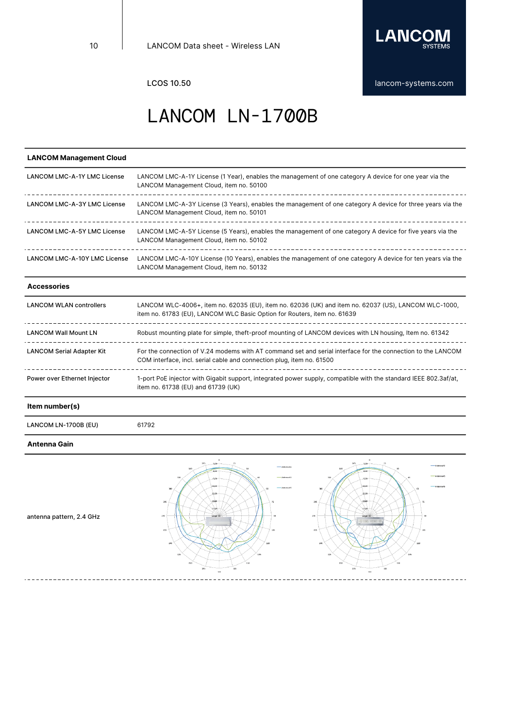

#### **LANCOM Management Cloud** LANCOM LMC-A-1Y LMC License LANCOM LMC-A-1Y License (1 Year), enables the management of one category A device for one year via the LANCOM Management Cloud, item no. 50100 -------------------------------LANCOM LMC-A-3Y LMC License LANCOM LMC-A-3Y License (3 Years), enables the management of one category A device for three years via the LANCOM Management Cloud, item no. 50101 LANCOM LMC-A-5Y LMC License LANCOM LMC-A-5Y License (5 Years), enables the management of one category A device for five years via the LANCOM Management Cloud, item no. 50102 LANCOM LMC-A-10Y LMC License LANCOM LMC-A-10Y License (10 Years), enables the management of one category A device for ten years via the LANCOM Management Cloud, item no. 50132 **Accessories** LANCOM WLAN controllers LANCOM WLC-4006+, item no. 62035 (EU), item no. 62036 (UK) and item no. 62037 (US), LANCOM WLC-1000, item no. 61783 (EU), LANCOM WLC Basic Option for Routers, item no. 61639

| Power over Ethernet Injector     | 1-port PoE injector with Gigabit support, integrated power supply, compatible with the standard IEEE 802.3af/at,<br>item no. 61738 (EU) and 61739 (UK)                               |
|----------------------------------|--------------------------------------------------------------------------------------------------------------------------------------------------------------------------------------|
| <b>LANCOM Serial Adapter Kit</b> | For the connection of V.24 modems with AT command set and serial interface for the connection to the LANCOM<br>COM interface, incl. serial cable and connection plug, item no. 61500 |
| <b>LANCOM Wall Mount LN</b>      | Robust mounting plate for simple, theft-proof mounting of LANCOM devices with LN housing, Item no. 61342                                                                             |

**Item number(s)**

LANCOM LN-1700B (EU) 61792

#### **Antenna Gain**



antenna pattern, 2.4 GHz